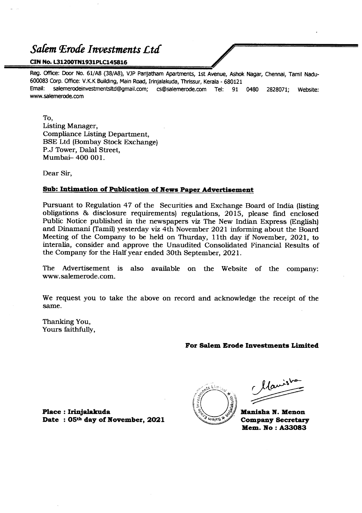#### *Safem f£roae Investments Ltd*

#### **CINNo.L31200TN1931PLC145816**

Reg. Office: Door No. 61/AB (38/A8), VJP Parijatham Apartments, 1st Avenue, Ashok Nagar, Chennai, Tamil Nadu-600083 Corp. Office: V.K.K Building, Main Road, Irinjalakuda, Thrissur, Kerala - 680121 Email: salemerodeinvestmentsltd@gmail.com; cs@salemerode.com Tel: 91 0480 2828071; Website: www.salemerode.com

To,

Listing Manager, Compliance Listing Department, BSE Ltd (Bombay Stock Exchange) P.J Tower, Dalal Street, Mumbai- 400 001.

Dear Sir,

#### **Sub: Intimation of Publication of News Paper Advertisement**

Pursuant to Regulation 47 of the Securities and Exchange Board of India (listing obligations & disclosure requirements) regulations, 2015, please fmd enclosed Public Notice published in the newspapers viz The New Indian Express (English) and Dinamani (Tamil) yesterday viz 4th November 2021 informing about the Board Meeting of the Company to be held on Thurday, 11th day if November,2021, to interalia, consider and approve the Unaudited Consolidated Financial Results of the Company for the Half year ended 30th September, 2021.

The Advertisement is also available on the Website of the company: www.salemerode.com.

We request you to take the above on record and acknowledge the receipt of the same.

Thanking You, Yours faithfully,

#### **For Salem Erode Investments Limited**

**Place: lrinjalakuda Date : OSthday of November, 2021**

**Waig** 

Manisho

**Manisha N. Menon Company Secretary Mem. No : A33083**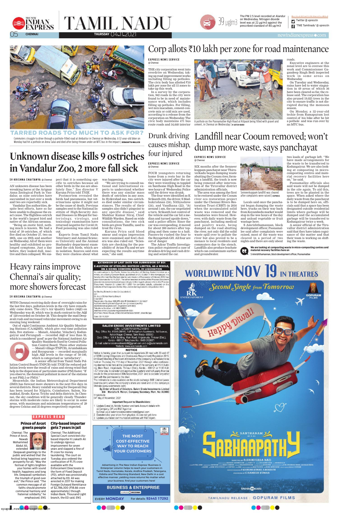

**TAMIL NADU** 



# **Unknown disease kills 9 ostriches in Vandalur Zoo, 2 more fall sick**

#### **S V K R I S H N A C H A I T A N Y A** @ Chennai

AN unknown disease has been wreaking havoc at the Arignar Anna Zoological Park in Vandalur, as nine ostriches have succumbed in just over a week birds had pneumonia, but vetand two are reportedly sick.

Vandalur Zoo authorities, despite best efforts, have so far been unable to diagnose the exact cause. The flightless ostrich is the world's largest bird and native of the African savanna.

"Being an exotic bird, nothing much is known. We had a total of 39 ostriches, of which five died on October 27, two on 28th, one on 29th and another on Wednesday. All of them were healthy and exhibited no prolonged symptoms. Just a day before, they looked dull, inactive and then collapsed. We sus-

pect that it is something specific to ostriches because all other birds in the zoo are absolutely fine," Zoo director V Karuna Priya told *TNIE*.

Postmortem revealed the erinarians opine it might not

#### TARRED ROADS TOO MUCH TO ASK FOR? Commuters struggle to drive through a pothole-filled road at Ambattur in Chennai on Wednesday. A 32-year-old biker on Monday had hit a pothole on Anna Salai and died after being thrown under an MTC bus in the impact | DEBADATTA MALLICK

be the cause of death. Previous samples sent to the National Institute of High-Security Animal Diseases in Bhopal for bacteriology, virology, and toxicology examination have returned negative for Covid-19. Food poisoning was also ruled out.

#### **EXPRESS NEWS SERVICE** @ Chennai

Experts from Tamil Nadu Veterinary and Animal Sciences University and the Animal Husbandry department examined the sick birds, which are in isolation. Sources said even they were clueless about what

was happening.

"We are trying to consult national and international experts to understand whether there was any similar mass death of ostriches in any zoos.

# In Hyderabad zoo, two ostriches died under similar circum-

# Corp allots  $\text{\textsf{F10}}$  lakh per zone for road maintenance

stances. The results of their samples also didn't pinpoint to any specific disease," said Shekhar Kumar Niraj, Chief Wildlife Warden. Based on wide consultations, the two sick birds are given Tamiflu, used to treat flu virus.

#### **EXPRESS NEWS SERVICE** @ Chennai

Karuna Priya said blood smear and organ impression were examined and fowl cholera was also ruled out. "Scientists are checking for the possibility of Avian Flu and we are expecting the results anytime soon," she said.

THE city corporation went into overdrive on Wednesday, taking up road improvement works including filling up potholes. The civic body has allotted  $\bar{\tau}$ 10 lakh per zone for all 15 zones to take up this work.

In a survey by the corporation, 942 roads in the city were found to be in need of maintenance work, which includes filling up potholes. For filling, wet mix macadam, cement-concrete mix or cold mix are used, according to a release from the corporation on Wednesday. The civic body maintains 471 bus route roads and 34,640 interior

roads.

Executive engineers at the zonal level are to oversee this work and Commissioner Gagandeep Singh Bedi inspected work in some areas on Wednesday.

On Tuesday and Wednesday, rains have led to water stagnation in 49 areas of which 36 have been cleared so far, the release said. The corporation has also pruned 19,025 trees in the city to ensure traffic is not disrupted during the monsoon season.

n Twitter @ xpresstn 'TNIE Tamilnadu' @ xpresstn

The PM 2.5 level recorded at Alandur on Wednesday. Nitrogen dioxide level was at 22 µg/m3 against the prescribed at Atar<br>
prescribed standard of 80 µg/m3<br>
prescribed standard of 80 µg/m3



On Monday, a 32-year-old techie from Ramapuram lost control of his bike after he hit a pothole and was run over by an MTC bus.



A pothole on the Poonamallee High Road at Kilpauk being filled with gravel and

cement, in Chennai on Wednesday | **R SATISH BABU**

SIX months after the Senneer kuppam panchayat near Thiruverkadu began dumping waste abutting the Cooum river, forming a landfill, the trash is now being removed after intervention of the Tiruvallur district administration officials.

The area was among the first to be restored under the Cooum river eco restoration project under the Chennai Rivers Res-

toration Trust (CRRT) in 2016 when the accumulated solid waste was removed and the boundaries were fenced. However, with daily waste from the panchayat, including medical and poultry waste, being dumped on the road abutting the river, not only did the solid waste spill over to pollute the river but also proved to be a menace to local residents and commuters due to the stench. Landfills also produce leachate which can contaminate surface and groundwater.

Locals said once the panchayat began dumping the waste here, trucks on their way back from Koyambedu market would stop in the wee hours of the day and unload vegetable or fruit wastage here.

Landfill near Cooum removed; won't Drunk driving

dump more waste, says panchayat causes mishap,

> S Amrizhthamannan, block development officer, Poonamallee said after complaints were raised, most of the waste was cleared in a period of two nights and there are only about

 $\circ$ **THE MOST COST-EFFECTIVE WAY TO REACH YOUR CUSTOMERS**

Advertising in The New Indian Express 'Business & Enterprise' column helps to reach your customers in Tamil Nadu, Karnataka, Kerala, Andhra Pradesh, Telangana, Odisha and The Morning Standard, New Delhi in a cost effective manner, yielding more returns! No matter what your business, find your customers here!

> **BUSINESS & ENTERPRISE EXPRESS CONDITIONED**

**EVERY MONDAY** For details: **92443 17292** 





 $\begin{tabular}{|c|c|} \hline & \multicolumn{1}{|c|}{\multicolumn{1}{c|}{\hspace{-1.4cm}}}\hline \multicolumn{1}{|c|}{\hspace{-1.4cm}}\hline \multicolumn{1}{|c|}{\hspace{-1.4cm}}\hline \multicolumn{1}{|c|}{\hspace{-1.4cm}}\hline \multicolumn{1}{|c|}{\hspace{-1.4cm}}\hline \multicolumn{1}{|c|}{\hspace{-1.4cm}}\hline \multicolumn{1}{|c|}{\hspace{-1.4cm}}\hline \multicolumn{1}{|c|}{\hspace{-1.4cm}}\hline \multicolumn{1}{|c|$ 



**M** SERIES STRIDE SATISFAR ARUMUGAN SESAN CS SUSLEO JOHN PAUL SENDUAN AR<br>M SERIES SATISFA USA HARI DINESH SISESI SALAKSISINAN SERIESINAN MENTEKI SESARA BAN ANGKATIAN, SM BAJKUMAR<br>SIGENE SAPN VEK STUDIO SSCSETHU SISERIAL SE moVIVEK, SAM money

**GRESSIN PRODUCES P.KISHORE KUMAR, S.BHARATH FRODUCED BY C.RAMESH KUMAR** 

thinkumusic

TAMILNADU RELEASE : GOPURAM FILMS



two loads of garbage left. "We have made arrangements for the waste to be transferred to Kodungaiyur. We are also looking at composting in microcomposting centres and material recovery facilities here on," he said.

Poonamallee officials also said waste will not be dumped in the site again. To aid this, trees are to be planted in the space. When asked where the daily waste from the panchayat is to be dumped here on, officials said that a space has been designated outside residential limits where garbage will be dumped and the accumulated garbage will be transferred to Kodungaiyur twice a week.

A senior official of the Tiruvallur district administration said that they have taken cognisance of the matter and that their team is working on shifting the waste.

four injured

**EXPRESS NEWS SERVICE** 

@ Chennai

FOUR youngsters returning home from a resto bar in the city were injured after the car they were travelling in toppled on Santhome High Road in the wee hours of Wednesday. Police said the driver was drunk.

The four were identified as K Srikanth (22), the driver, S Mad-

hukrishnan (24), Nithyashree (24), and Vandhana (22). "At around 1 am, the car negotiated a turn. Srikanth lost control of the vehicle and the car hit a median and turned upside down," said a police officer. Since the car was overspeeding, it moved for about 200 meters after toppling and then came to a halt. Passers-by rushed the four to the Royapettah GH. All four are out of danger.

The Adyar Traffic Investigation police registered a case of drunken driving and rash driving and seized the car.



after complaints were raised | **EXPRESS**



S Amrizhthamannan, block development officer, Poonamallee

#### NEWS UPDATE FROM TN

# Heavy rains improve Chennai's air quality; more showers forecast

#### **S V K R I S H N A C H A I T A N Y A** @ Chennai

WITH Chennai receiving daily dose of overnight rains for the last few days, pollution levels in the city have remarkably come down. The city's Air Quality Index (AQI) on Wednesday was 48, which was in stark contrast to the AQI of 120 recorded on October 28. This despite the mad Deepavali rush and increased vehicular movement owing to an ensuing long weekend.

Out of eight Continuous Ambient Air Quality Monitoring Stations (CAAQMS), which give real-time pollution data, five stations — Manali, Alandur, Velachery, Kodungaiyur and Perungudi — recorded AQI of less than 50, which is considered 'good' as per the National Ambient Air



Quality Standards fixed by Central Pollution Control Board. Three other stations — Manali village (TNPCB), Arumbakkam and Royapuram — recorded marginally high AQI levels in the range of 50-100, which is categorised as 'satisfactory'. A senior official from Tamil Nadu Pol-

lution Control Board (TNPCB) told *TNIE* the reduced pollution levels were the result of rains and strong wind that help in the dispersion of particulate matter (PM) faster. "If you observe, the dominant pollutant in most of the stations is not PM2.5 or PM10."

Meanwhile, the Indian Meteorological Department (IMD) has forecast more showers in the next five days in several districts. Heavy rainfall warning for Deepavali Day has been issued for Nilgiris, Coimbatore, Salem, Namakkal, Erode, Karur, Trichy and delta districts. In Chennai, the sky condition will be generally cloudy. Thunderstorms with moderate rains are likely to occur in some areas, with maximum and minimum temperatures of 29 degrees Celsius and 25 degrees respectively expected.

#### **EXTENSION OF LAST DATE FOR SUBMISSION OF EOI E-AUCTION OF STERLING BIOTECH LIMITED, AS A WHOLE,** ON A GOING CONCERN BASIS, IN LIQUIDATION

he Public Notice for e-Auction of Sterling Biotech Limited as a In continuation whole, on a Going Concern Basis, published on 21.10.2021 in this newspaper, it is hereby informed that the last date for submission of Expression of Interest (EOI) has been extended to 15.11.2021. The other timelines in terms of the Process Document also stands extended/revised accordingly. In this regard, please refer to the Process Document, Version 2.1 dated 03.11.2021 for complete details, uploaded on the website of the Corporate Debtor, http://www.sterlingbiotech.in/liquidation.html.

for Sterling Biotech Limited (in Liquidation)

Dr. (h.c.) CS Adv Mamta Binani Liquidato Registration Number: IBBI/IPA-002/IP-N00086/2017-18/10227 iquidatorsterlingbiotech@gmail.com (process specific) mamtabinani@gmail.com (registered with IBBI) Telephone Number: + 91 9831099551 Address of the Liquidator registered with IBBI: 2nd Floor, Nicco House, 2 Hare Street Kolkata 700001, West Bengal Date: 03.11.2021

#### **SALEM ERODE INVESTMENTS LIMITED** CIN): L31200TN1931PLC145816 Reg. Office: No. 61/A8 (38/A8), VJP Parijatham Apartments, 1st Avenue, Ashok Nagar, Chennai, Tamil Nadu- 600083 Corp. Office : V.K.K Building, Main Road, Irinjalakuda, Thrissur (Dist.), Kerala - 680121 Telephone No.: 0480 282807' E-mail: salemerodeinvestmentsltd@gmail.com and cs@salemerode.com

Website: www.salemerode.com **NOTICE** 

Notice is hereby given that pursuant to regulations 29 read with 33 and 47 of SEBI (Listing Obligations and Disclosures Requirement) Regulation 2015, 6th Board Meeting of the board of directors of the company is scheduled to be held on Thursday, the 11th day of November, 2021 through video conferencing deemed to be held at the corporate office of the company at V.K.K Building, Main Road, Irinjalakuda, Thrissur (Dist.), Kerala - 680121 at 11:00 A.M. I.S.T, inter alia, to consider and approve the quarterly and half-yearly financial results for the period ended 30th September, 2021 and to consider any other item with the permission to the chair.

The Intimations is also available on the stock exchange BSE Limited (www. bseindia.com) where the company's share are listed and on the company's Website (www.salemerode.com)

By Order of Board of Directors, Salem Erode Investments Limited S/d- Manisha N. Menon, Company Secretary, Mem. No: A33083 Irinjalakuda

04<sup>th</sup> day of November, 2021

Important Request to Shareholders:

1 Update E-mail id. Mobile Number and bank Account details with a) Company, DP and R&T Agent or b) Email us at salemerodeinvestmentsitd@gmail.com Dematerialise your share from physical, in case not yet done. 3 Update your latest communication address with R&T Agent.

# WORLDWIDE NOV 19 IN THEATRES  $S$ econd  $S$ ingle from Tomorrow **GOPURAM** ENTERTAINMENT **FILMS** Happy Diwall

City-based importer

gets 7 years in jail Chennai: The Additional Special Court convicted citybased importer K Liakath Ali to undergo rigorous imprisonment for seven years and slapped a fine of ₹1 crore for money laundering. The court on Tuesday also ordered the confiscation of  $\bar{\tau}$ 1.75 crore available with the Enforcement Directorate in the form of Fixed Deposit (FD), which was provisionally attached by ED. Ali was arrested in 2017 for making Foreign Outward Remittance of \$2,786,300 (₹18.66 crore approximately) through Indian Bank, Thousand Light branch, the ED said. ENS

#### Prince of Arcot greets people

#### Chennai: The Prince of Arcot,

Nawab Mohammed Abdul Ali,

extended Deepavali greetings to the public and wished that the festival bring happiness and prosperity for all. "May the festival of lights brighten your homes with sound health, happiness and long life. Deepavali symbolises the triumph of good over evil," the Prince said. "The common message of all faiths should promote communal harmony and fraternal solidarity," he emphasised. ENS

epaper.newindianexpress.com

#### E X P R E S S R E A D